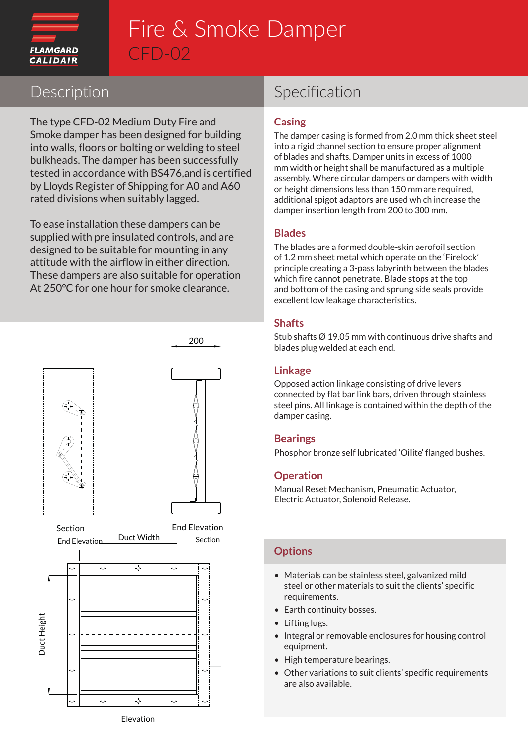

## Fire & Smoke Damper CFD-02

### Description

The type CFD-02 Medium Duty Fire and Smoke damper has been designed for building into walls, floors or bolting or welding to steel bulkheads. The damper has been successfully tested in accordance with BS476,and is certified by Lloyds Register of Shipping for A0 and A60 rated divisions when suitably lagged.

To ease installation these dampers can be supplied with pre insulated controls, and are designed to be suitable for mounting in any attitude with the airflow in either direction. These dampers are also suitable for operation At 250°C for one hour for smoke clearance.



## Specification

#### **Casing**

The damper casing is formed from 2.0 mm thick sheet steel into a rigid channel section to ensure proper alignment of blades and shafts. Damper units in excess of 1000 mm width or height shall be manufactured as a multiple assembly. Where circular dampers or dampers with width or height dimensions less than 150 mm are required, additional spigot adaptors are used which increase the damper insertion length from 200 to 300 mm.

#### **Blades**

The blades are a formed double-skin aerofoil section of 1.2 mm sheet metal which operate on the 'Firelock' principle creating a 3-pass labyrinth between the blades which fire cannot penetrate. Blade stops at the top and bottom of the casing and sprung side seals provide excellent low leakage characteristics.

#### **Shafts**

Stub shafts Ø 19.05 mm with continuous drive shafts and blades plug welded at each end.

#### **Linkage**

Opposed action linkage consisting of drive levers connected by flat bar link bars, driven through stainless steel pins. All linkage is contained within the depth of the damper casing.

#### **Bearings**

Phosphor bronze self lubricated 'Oilite' flanged bushes.

#### **Operation**

Manual Reset Mechanism, Pneumatic Actuator, Electric Actuator, Solenoid Release.

#### **Options**

- Materials can be stainless steel, galvanized mild steel or other materials to suit the clients' specific requirements.
- Earth continuity bosses.
- Lifting lugs.
- Integral or removable enclosures for housing control equipment.
- High temperature bearings.
- Other variations to suit clients' specific requirements are also available.